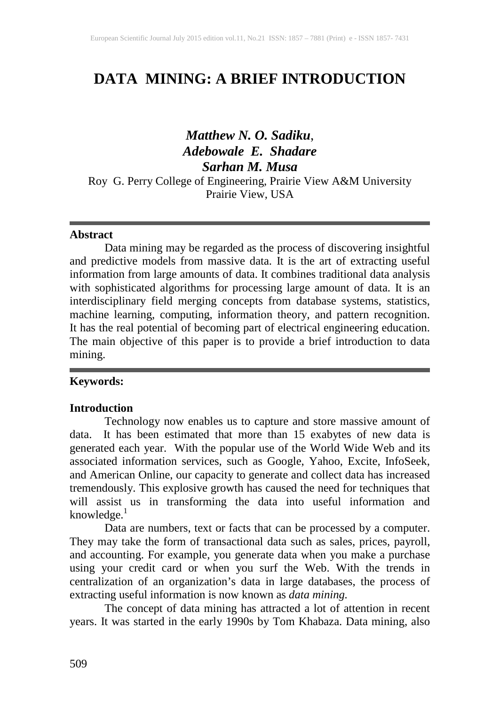# **DATA MINING: A BRIEF INTRODUCTION**

# *Matthew N. O. Sadiku*, *Adebowale E. Shadare Sarhan M. Musa*

Roy G. Perry College of Engineering, Prairie View A&M University Prairie View, USA

#### **Abstract**

Data mining may be regarded as the process of discovering insightful and predictive models from massive data. It is the art of extracting useful information from large amounts of data. It combines traditional data analysis with sophisticated algorithms for processing large amount of data. It is an interdisciplinary field merging concepts from database systems, statistics, machine learning, computing, information theory, and pattern recognition. It has the real potential of becoming part of electrical engineering education. The main objective of this paper is to provide a brief introduction to data mining.

#### **Keywords:**

#### **Introduction**

Technology now enables us to capture and store massive amount of data. It has been estimated that more than 15 exabytes of new data is generated each year. With the popular use of the World Wide Web and its associated information services, such as Google, Yahoo, Excite, InfoSeek, and American Online, our capacity to generate and collect data has increased tremendously. This explosive growth has caused the need for techniques that will assist us in transforming the data into useful information and knowledge.<sup>1</sup>

Data are numbers, text or facts that can be processed by a computer. They may take the form of transactional data such as sales, prices, payroll, and accounting. For example, you generate data when you make a purchase using your credit card or when you surf the Web. With the trends in centralization of an organization's data in large databases, the process of extracting useful information is now known as *data mining.*

The concept of data mining has attracted a lot of attention in recent years. It was started in the early 1990s by Tom Khabaza. Data mining, also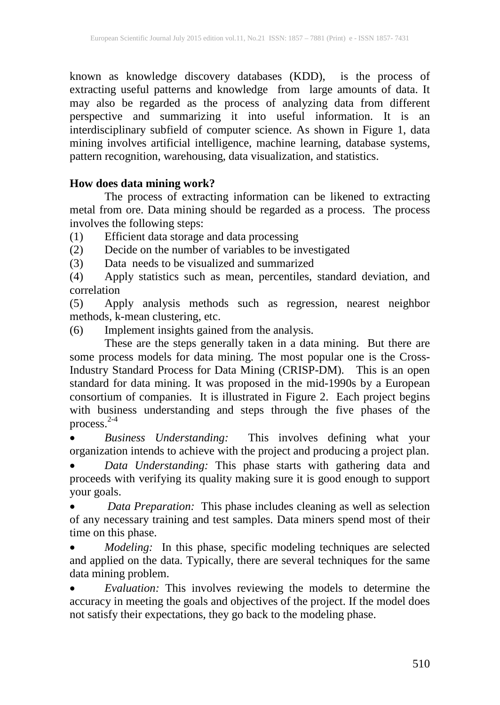known as knowledge discovery databases (KDD), is the process of extracting useful patterns and knowledge from large amounts of data. It may also be regarded as the process of analyzing data from different perspective and summarizing it into useful information. It is an interdisciplinary subfield of computer science. As shown in Figure 1, data mining involves artificial intelligence, machine learning, database systems, pattern recognition, warehousing, data visualization, and statistics.

### **How does data mining work?**

The process of extracting information can be likened to extracting metal from ore. Data mining should be regarded as a process. The process involves the following steps:

(1) Efficient data storage and data processing

(2) Decide on the number of variables to be investigated

(3) Data needs to be visualized and summarized

(4) Apply statistics such as mean, percentiles, standard deviation, and correlation

(5) Apply analysis methods such as regression, nearest neighbor methods, k-mean clustering, etc.

(6) Implement insights gained from the analysis.

These are the steps generally taken in a data mining. But there are some process models for data mining. The most popular one is the Cross-Industry Standard Process for Data Mining (CRISP-DM). This is an open standard for data mining. It was proposed in the mid-1990s by a European consortium of companies. It is illustrated in Figure 2. Each project begins with business understanding and steps through the five phases of the process. 2-4

• *Business Understanding:* This involves defining what your organization intends to achieve with the project and producing a project plan.

• *Data Understanding:* This phase starts with gathering data and proceeds with verifying its quality making sure it is good enough to support your goals.

• *Data Preparation:* This phase includes cleaning as well as selection of any necessary training and test samples. Data miners spend most of their time on this phase.

• *Modeling:* In this phase, specific modeling techniques are selected and applied on the data. Typically, there are several techniques for the same data mining problem.

• *Evaluation:* This involves reviewing the models to determine the accuracy in meeting the goals and objectives of the project. If the model does not satisfy their expectations, they go back to the modeling phase.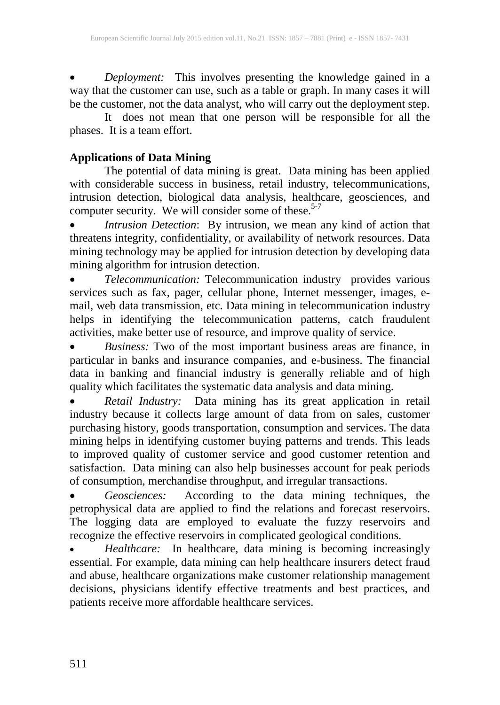• *Deployment:* This involves presenting the knowledge gained in a way that the customer can use, such as a table or graph. In many cases it will be the customer, not the data analyst, who will carry out the deployment step.

It does not mean that one person will be responsible for all the phases. It is a team effort.

## **Applications of Data Mining**

The potential of data mining is great. Data mining has been applied with considerable success in business, retail industry, telecommunications, intrusion detection, biological data analysis, healthcare, geosciences, and computer security. We will consider some of these.<sup>5-7</sup>

• *Intrusion Detection*: By intrusion, we mean any kind of action that threatens integrity, confidentiality, or availability of network resources. Data mining technology may be applied for intrusion detection by developing data mining algorithm for intrusion detection.

• *Telecommunication:* Telecommunication industry provides various services such as fax, pager, cellular phone, Internet messenger, images, email, web data transmission, etc. Data mining in telecommunication industry helps in identifying the telecommunication patterns, catch fraudulent activities, make better use of resource, and improve quality of service.

• *Business:* Two of the most important business areas are finance, in particular in banks and insurance companies, and e-business. The financial data in banking and financial industry is generally reliable and of high quality which facilitates the systematic data analysis and data mining.

• *Retail Industry:* Data mining has its great application in retail industry because it collects large amount of data from on sales, customer purchasing history, goods transportation, consumption and services. The data mining helps in identifying customer buying patterns and trends. This leads to improved quality of customer service and good customer retention and satisfaction. Data mining can also help businesses account for peak periods of consumption, merchandise throughput, and irregular transactions.

• *Geosciences:* According to the data mining techniques, the petrophysical data are applied to find the relations and forecast reservoirs. The logging data are employed to evaluate the fuzzy reservoirs and recognize the effective reservoirs in complicated geological conditions.

• *Healthcare:* In healthcare, data mining is becoming increasingly essential. For example, data mining can help healthcare insurers detect fraud and abuse, healthcare organizations make customer relationship management decisions, physicians identify effective treatments and best practices, and patients receive more affordable healthcare services.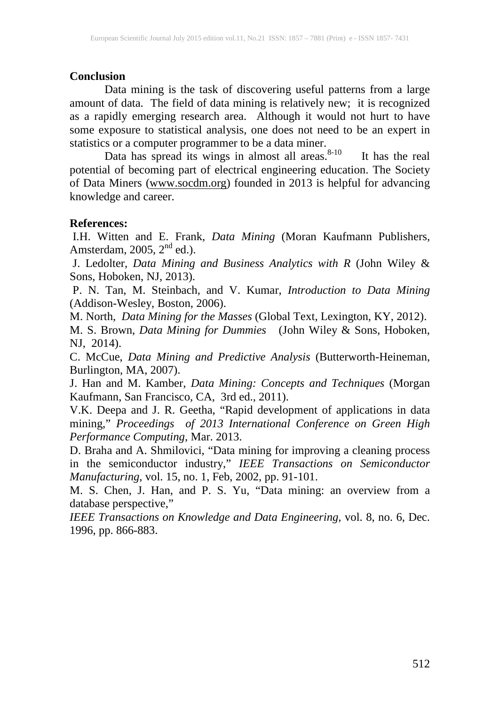#### **Conclusion**

Data mining is the task of discovering useful patterns from a large amount of data. The field of data mining is relatively new; it is recognized as a rapidly emerging research area. Although it would not hurt to have some exposure to statistical analysis, one does not need to be an expert in statistics or a computer programmer to be a data miner.

Data has spread its wings in almost all areas. It has the real potential of becoming part of electrical engineering education. The Society of Data Miners [\(www.socdm.org\)](http://www.socdm.org/) founded in 2013 is helpful for advancing knowledge and career.

#### **References:**

I.H. Witten and E. Frank, *Data Mining* (Moran Kaufmann Publishers, Amsterdam, 2005,  $2<sup>nd</sup>$  ed.).

J. Ledolter, *Data Mining and Business Analytics with R* (John Wiley & Sons, Hoboken, NJ, 2013).

P. N. Tan, M. Steinbach, and V. Kumar, *Introduction to Data Mining* (Addison-Wesley, Boston, 2006).

M. North, *Data Mining for the Masses* (Global Text, Lexington, KY, 2012).

M. S. Brown, *Data Mining for Dummies* (John Wiley & Sons, Hoboken, NJ, 2014).

C. McCue, *Data Mining and Predictive Analysis* (Butterworth-Heineman, Burlington, MA, 2007).

J. Han and M. Kamber, *Data Mining: Concepts and Techniques* (Morgan Kaufmann, San Francisco, CA, 3rd ed., 2011).

V.K. Deepa and J. R. Geetha, "Rapid development of applications in data mining," *Proceedings of 2013 International Conference on Green High Performance Computing*, Mar. 2013.

D. Braha and A. Shmilovici, "Data mining for improving a cleaning process in the semiconductor industry," *IEEE Transactions on Semiconductor Manufacturing*, vol. 15, no. 1, Feb, 2002, pp. 91-101.

M. S. Chen, J. Han, and P. S. Yu, "Data mining: an overview from a database perspective,"

*IEEE Transactions on Knowledge and Data Engineering*, vol. 8, no. 6, Dec. 1996, pp. 866-883.